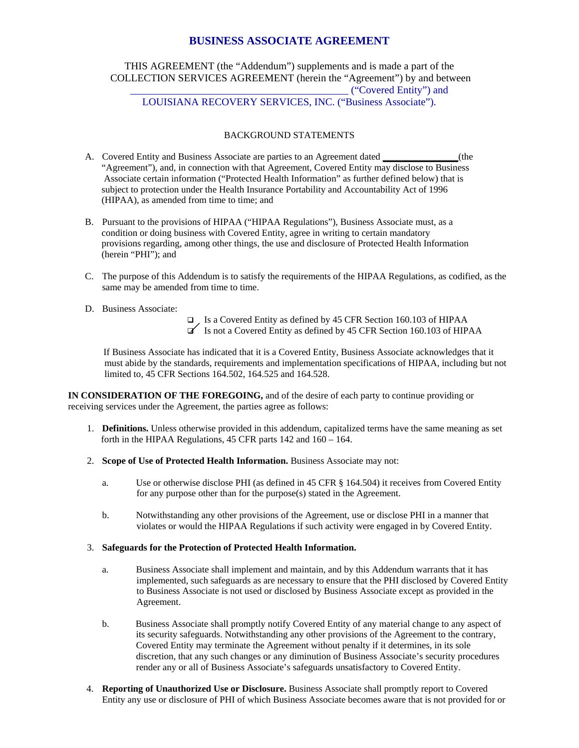# **BUSINESS ASSOCIATE AGREEMENT**

THIS AGREEMENT (the "Addendum") supplements and is made a part of the COLLECTION SERVICES AGREEMENT (herein the "Agreement") by and between \_\_\_\_\_\_\_\_\_\_\_\_\_\_\_\_\_\_\_\_\_\_\_\_\_\_\_\_\_\_\_\_\_\_\_\_\_\_\_\_\_\_ ("Covered Entity") and LOUISIANA RECOVERY SERVICES, INC. ("Business Associate").

# BACKGROUND STATEMENTS

- A. Covered Entity and Business Associate are parties to an Agreement dated **\_\_\_\_\_\_\_\_\_\_\_\_\_\_\_\_**(the "Agreement"), and, in connection with that Agreement, Covered Entity may disclose to Business Associate certain information ("Protected Health Information" as further defined below) that is subject to protection under the Health Insurance Portability and Accountability Act of 1996 (HIPAA), as amended from time to time; and
- B. Pursuant to the provisions of HIPAA ("HIPAA Regulations"), Business Associate must, as a condition or doing business with Covered Entity, agree in writing to certain mandatory provisions regarding, among other things, the use and disclosure of Protected Health Information (herein "PHI"); and
- C. The purpose of this Addendum is to satisfy the requirements of the HIPAA Regulations, as codified, as the same may be amended from time to time.
- D. Business Associate:
- Is a Covered Entity as defined by 45 CFR Section 160.103 of HIPAA  $\triangledown$  Is not a Covered Entity as defined by 45 CFR Section 160.103 of HIPAA

 If Business Associate has indicated that it is a Covered Entity, Business Associate acknowledges that it must abide by the standards, requirements and implementation specifications of HIPAA, including but not limited to, 45 CFR Sections 164.502, 164.525 and 164.528.

**IN CONSIDERATION OF THE FOREGOING,** and of the desire of each party to continue providing or receiving services under the Agreement, the parties agree as follows:

- 1. **Definitions.** Unless otherwise provided in this addendum, capitalized terms have the same meaning as set forth in the HIPAA Regulations, 45 CFR parts 142 and 160 – 164.
- 2. **Scope of Use of Protected Health Information.** Business Associate may not:
	- a. Use or otherwise disclose PHI (as defined in 45 CFR § 164.504) it receives from Covered Entity for any purpose other than for the purpose(s) stated in the Agreement.
	- b. Notwithstanding any other provisions of the Agreement, use or disclose PHI in a manner that violates or would the HIPAA Regulations if such activity were engaged in by Covered Entity.

#### 3. **Safeguards for the Protection of Protected Health Information.**

- a. Business Associate shall implement and maintain, and by this Addendum warrants that it has implemented, such safeguards as are necessary to ensure that the PHI disclosed by Covered Entity to Business Associate is not used or disclosed by Business Associate except as provided in the Agreement.
- b. Business Associate shall promptly notify Covered Entity of any material change to any aspect of its security safeguards. Notwithstanding any other provisions of the Agreement to the contrary, Covered Entity may terminate the Agreement without penalty if it determines, in its sole discretion, that any such changes or any diminution of Business Associate's security procedures render any or all of Business Associate's safeguards unsatisfactory to Covered Entity.
- 4. **Reporting of Unauthorized Use or Disclosure.** Business Associate shall promptly report to Covered Entity any use or disclosure of PHI of which Business Associate becomes aware that is not provided for or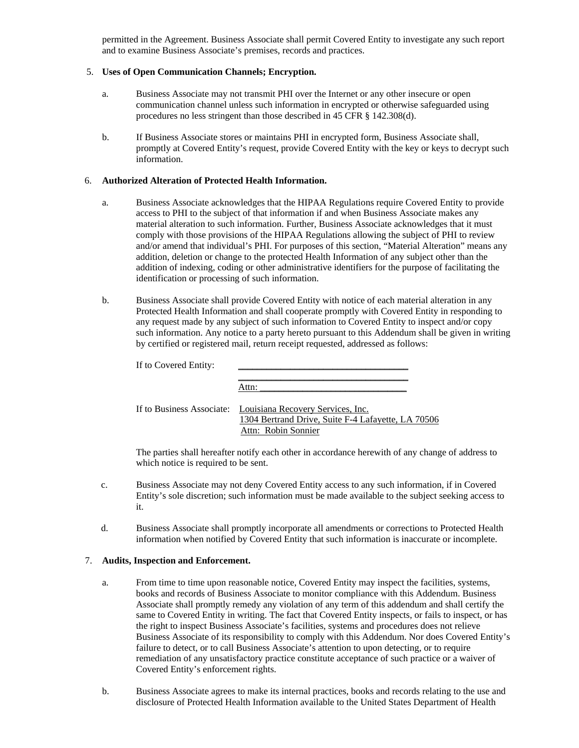permitted in the Agreement. Business Associate shall permit Covered Entity to investigate any such report and to examine Business Associate's premises, records and practices.

# 5. **Uses of Open Communication Channels; Encryption.**

- a. Business Associate may not transmit PHI over the Internet or any other insecure or open communication channel unless such information in encrypted or otherwise safeguarded using procedures no less stringent than those described in 45 CFR § 142.308(d).
- b. If Business Associate stores or maintains PHI in encrypted form, Business Associate shall, promptly at Covered Entity's request, provide Covered Entity with the key or keys to decrypt such information.

### 6. **Authorized Alteration of Protected Health Information.**

- a. Business Associate acknowledges that the HIPAA Regulations require Covered Entity to provide access to PHI to the subject of that information if and when Business Associate makes any material alteration to such information. Further, Business Associate acknowledges that it must comply with those provisions of the HIPAA Regulations allowing the subject of PHI to review and/or amend that individual's PHI. For purposes of this section, "Material Alteration" means any addition, deletion or change to the protected Health Information of any subject other than the addition of indexing, coding or other administrative identifiers for the purpose of facilitating the identification or processing of such information.
- b. Business Associate shall provide Covered Entity with notice of each material alteration in any Protected Health Information and shall cooperate promptly with Covered Entity in responding to any request made by any subject of such information to Covered Entity to inspect and/or copy such information. Any notice to a party hereto pursuant to this Addendum shall be given in writing by certified or registered mail, return receipt requested, addressed as follows:

| If to Covered Entity: |                                                                                                                                          |
|-----------------------|------------------------------------------------------------------------------------------------------------------------------------------|
|                       | Attn:                                                                                                                                    |
|                       | If to Business Associate: Louisiana Recovery Services, Inc.<br>1304 Bertrand Drive, Suite F-4 Lafayette, LA 70506<br>Attn: Robin Sonnier |

The parties shall hereafter notify each other in accordance herewith of any change of address to which notice is required to be sent.

- c. Business Associate may not deny Covered Entity access to any such information, if in Covered Entity's sole discretion; such information must be made available to the subject seeking access to it.
- d. Business Associate shall promptly incorporate all amendments or corrections to Protected Health information when notified by Covered Entity that such information is inaccurate or incomplete.

#### 7. **Audits, Inspection and Enforcement.**

- a. From time to time upon reasonable notice, Covered Entity may inspect the facilities, systems, books and records of Business Associate to monitor compliance with this Addendum. Business Associate shall promptly remedy any violation of any term of this addendum and shall certify the same to Covered Entity in writing. The fact that Covered Entity inspects, or fails to inspect, or has the right to inspect Business Associate's facilities, systems and procedures does not relieve Business Associate of its responsibility to comply with this Addendum. Nor does Covered Entity's failure to detect, or to call Business Associate's attention to upon detecting, or to require remediation of any unsatisfactory practice constitute acceptance of such practice or a waiver of Covered Entity's enforcement rights.
- b. Business Associate agrees to make its internal practices, books and records relating to the use and disclosure of Protected Health Information available to the United States Department of Health